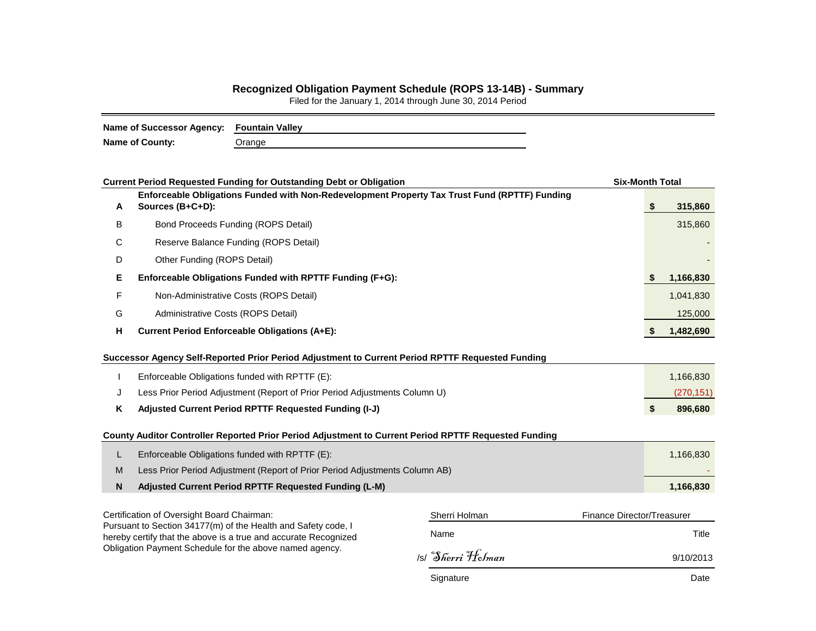## **Recognized Obligation Payment Schedule (ROPS 13-14B) - Summary**

Filed for the January 1, 2014 through June 30, 2014 Period

| Name of Successor Agency: Fountain Valley |        |  |  |  |  |  |  |
|-------------------------------------------|--------|--|--|--|--|--|--|
| <b>Name of County:</b>                    | Orange |  |  |  |  |  |  |

|   | <b>Current Period Requested Funding for Outstanding Debt or Obligation</b>                                                       |                            | <b>Six-Month Total</b> |            |  |  |  |  |  |
|---|----------------------------------------------------------------------------------------------------------------------------------|----------------------------|------------------------|------------|--|--|--|--|--|
| Α | Enforceable Obligations Funded with Non-Redevelopment Property Tax Trust Fund (RPTTF) Funding<br>Sources (B+C+D):                |                            | \$                     | 315,860    |  |  |  |  |  |
| B | <b>Bond Proceeds Funding (ROPS Detail)</b>                                                                                       |                            |                        | 315,860    |  |  |  |  |  |
| С | Reserve Balance Funding (ROPS Detail)                                                                                            |                            |                        |            |  |  |  |  |  |
| D | Other Funding (ROPS Detail)                                                                                                      |                            |                        |            |  |  |  |  |  |
| Е | Enforceable Obligations Funded with RPTTF Funding (F+G):                                                                         |                            | S                      | 1,166,830  |  |  |  |  |  |
| F | Non-Administrative Costs (ROPS Detail)                                                                                           |                            |                        | 1,041,830  |  |  |  |  |  |
| G | Administrative Costs (ROPS Detail)                                                                                               |                            |                        | 125,000    |  |  |  |  |  |
| н | <b>Current Period Enforceable Obligations (A+E):</b>                                                                             |                            |                        |            |  |  |  |  |  |
|   | Successor Agency Self-Reported Prior Period Adjustment to Current Period RPTTF Requested Funding                                 |                            |                        |            |  |  |  |  |  |
|   | Enforceable Obligations funded with RPTTF (E):                                                                                   |                            |                        | 1,166,830  |  |  |  |  |  |
| J | Less Prior Period Adjustment (Report of Prior Period Adjustments Column U)                                                       |                            |                        | (270, 151) |  |  |  |  |  |
| Κ | Adjusted Current Period RPTTF Requested Funding (I-J)                                                                            |                            | \$                     | 896,680    |  |  |  |  |  |
|   | County Auditor Controller Reported Prior Period Adjustment to Current Period RPTTF Requested Funding                             |                            |                        |            |  |  |  |  |  |
| L | Enforceable Obligations funded with RPTTF (E):                                                                                   |                            |                        | 1,166,830  |  |  |  |  |  |
| M | Less Prior Period Adjustment (Report of Prior Period Adjustments Column AB)                                                      |                            |                        |            |  |  |  |  |  |
| N | Adjusted Current Period RPTTF Requested Funding (L-M)                                                                            |                            |                        | 1,166,830  |  |  |  |  |  |
|   | Certification of Oversight Board Chairman:                                                                                       | Finance Director/Treasurer |                        |            |  |  |  |  |  |
|   | Pursuant to Section 34177(m) of the Health and Safety code, I<br>hereby certify that the above is a true and accurate Recognized | Name                       |                        | Title      |  |  |  |  |  |
|   | Obligation Payment Schedule for the above named agency.                                                                          | Si Sherri Holman           |                        | 9/10/2013  |  |  |  |  |  |
|   |                                                                                                                                  | Signature                  |                        | Date       |  |  |  |  |  |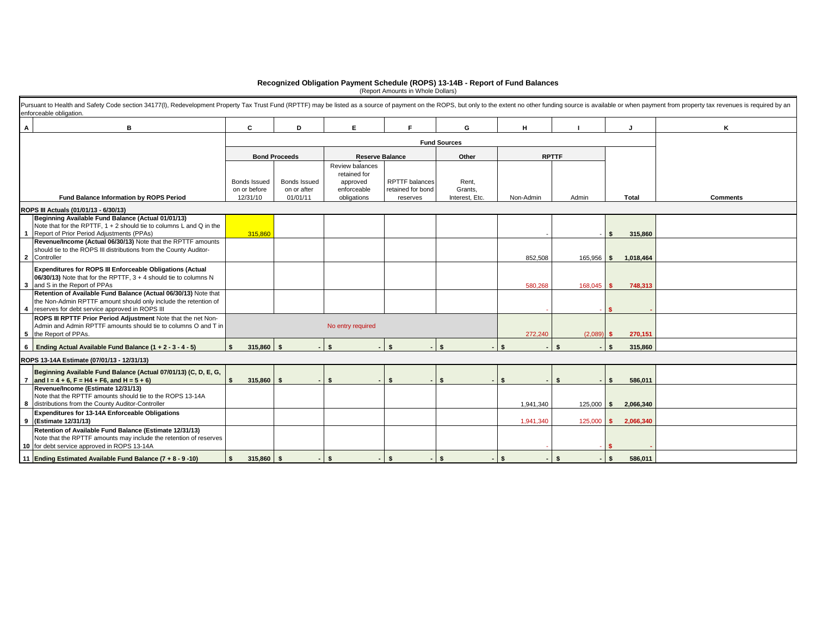## **Recognized Obligation Payment Schedule (ROPS) 13-14B - Report of Fund Balances** (Report Amounts in Whole Dollars)

| в<br>A                                                                                                                                                                                                                                                              |                                                                                            | C             | D.                                                                                                                                  | Е                      |                                    | G         | H         |              |                   | ĸ |  |  |  |  |
|---------------------------------------------------------------------------------------------------------------------------------------------------------------------------------------------------------------------------------------------------------------------|--------------------------------------------------------------------------------------------|---------------|-------------------------------------------------------------------------------------------------------------------------------------|------------------------|------------------------------------|-----------|-----------|--------------|-------------------|---|--|--|--|--|
|                                                                                                                                                                                                                                                                     |                                                                                            |               | <b>Fund Sources</b>                                                                                                                 |                        |                                    |           |           |              |                   |   |  |  |  |  |
|                                                                                                                                                                                                                                                                     |                                                                                            |               | <b>Bond Proceeds</b>                                                                                                                | <b>Reserve Balance</b> |                                    | Other     |           | <b>RPTTF</b> |                   |   |  |  |  |  |
| Fund Balance Information by ROPS Period                                                                                                                                                                                                                             | Bonds Issued<br><b>Bonds Issued</b><br>on or before<br>on or after<br>12/31/10<br>01/01/11 |               | Review balances<br>retained for<br><b>RPTTF</b> balances<br>approved<br>enforceable<br>retained for bond<br>obligations<br>reserves |                        | Rent,<br>Grants,<br>Interest. Etc. | Non-Admin | Admin     | <b>Total</b> | <b>Comments</b>   |   |  |  |  |  |
| ROPS III Actuals (01/01/13 - 6/30/13)                                                                                                                                                                                                                               |                                                                                            |               |                                                                                                                                     |                        |                                    |           |           |              |                   |   |  |  |  |  |
| Beginning Available Fund Balance (Actual 01/01/13)<br>Note that for the RPTTF, $1 + 2$ should tie to columns L and Q in the<br>Report of Prior Period Adjustments (PPAs)<br>$\overline{\mathbf{1}}$<br>Revenue/Income (Actual 06/30/13) Note that the RPTTF amounts |                                                                                            | 315,860       |                                                                                                                                     |                        |                                    |           |           |              | \$<br>315,860     |   |  |  |  |  |
| should tie to the ROPS III distributions from the County Auditor-<br>2 Controller                                                                                                                                                                                   |                                                                                            |               |                                                                                                                                     |                        |                                    |           | 852,508   | 165,956 \$   | 1,018,464         |   |  |  |  |  |
| Expenditures for ROPS III Enforceable Obligations (Actual<br>06/30/13) Note that for the RPTTF, $3 + 4$ should tie to columns N<br>3 and S in the Report of PPAs                                                                                                    |                                                                                            |               |                                                                                                                                     |                        |                                    |           | 580,268   | 168.045      | 748,313<br>S.     |   |  |  |  |  |
| Retention of Available Fund Balance (Actual 06/30/13) Note that<br>the Non-Admin RPTTF amount should only include the retention of<br>reserves for debt service approved in ROPS III<br>4                                                                           |                                                                                            |               |                                                                                                                                     |                        |                                    |           |           |              |                   |   |  |  |  |  |
| ROPS III RPTTF Prior Period Adjustment Note that the net Non-<br>Admin and Admin RPTTF amounts should tie to columns O and T in<br>5 the Report of PPAs.                                                                                                            |                                                                                            |               |                                                                                                                                     | No entry required      |                                    |           | 272,240   | (2,089)      | 270,151<br>s.     |   |  |  |  |  |
| 6 Ending Actual Available Fund Balance $(1 + 2 - 3 - 4 - 5)$                                                                                                                                                                                                        |                                                                                            | 315,860<br>s. | $\mathbf{\hat{S}}$                                                                                                                  | $\bullet$              |                                    |           |           |              | 315,860<br>S.     |   |  |  |  |  |
| ROPS 13-14A Estimate (07/01/13 - 12/31/13)                                                                                                                                                                                                                          |                                                                                            |               |                                                                                                                                     |                        |                                    |           |           |              |                   |   |  |  |  |  |
| Beginning Available Fund Balance (Actual 07/01/13) (C, D, E, G,<br>7 and I = $4 + 6$ , F = H4 + F6, and H = $5 + 6$ )                                                                                                                                               |                                                                                            | 315,860       |                                                                                                                                     |                        | \$                                 |           |           | \$           | 586,011<br>\$     |   |  |  |  |  |
| Revenue/Income (Estimate 12/31/13)<br>Note that the RPTTF amounts should tie to the ROPS 13-14A<br>8 distributions from the County Auditor-Controller                                                                                                               |                                                                                            |               |                                                                                                                                     |                        |                                    |           | 1,941,340 | $125,000$ \$ | 2,066,340         |   |  |  |  |  |
| Expenditures for 13-14A Enforceable Obligations<br>9 (Estimate 12/31/13)                                                                                                                                                                                            |                                                                                            |               |                                                                                                                                     |                        |                                    |           | 1,941,340 | 125,000      | 2,066,340<br>-S   |   |  |  |  |  |
| Retention of Available Fund Balance (Estimate 12/31/13)<br>Note that the RPTTF amounts may include the retention of reserves<br>10 for debt service approved in ROPS 13-14A                                                                                         |                                                                                            |               |                                                                                                                                     |                        |                                    |           |           |              |                   |   |  |  |  |  |
| 11 Ending Estimated Available Fund Balance (7 + 8 - 9 -10)                                                                                                                                                                                                          |                                                                                            | 315,860<br>\$ | - \$                                                                                                                                | $-1$ S                 | - \$<br>$-1$ \$                    |           | <b>S</b>  | <b>S</b>     | $-1$ s<br>586.011 |   |  |  |  |  |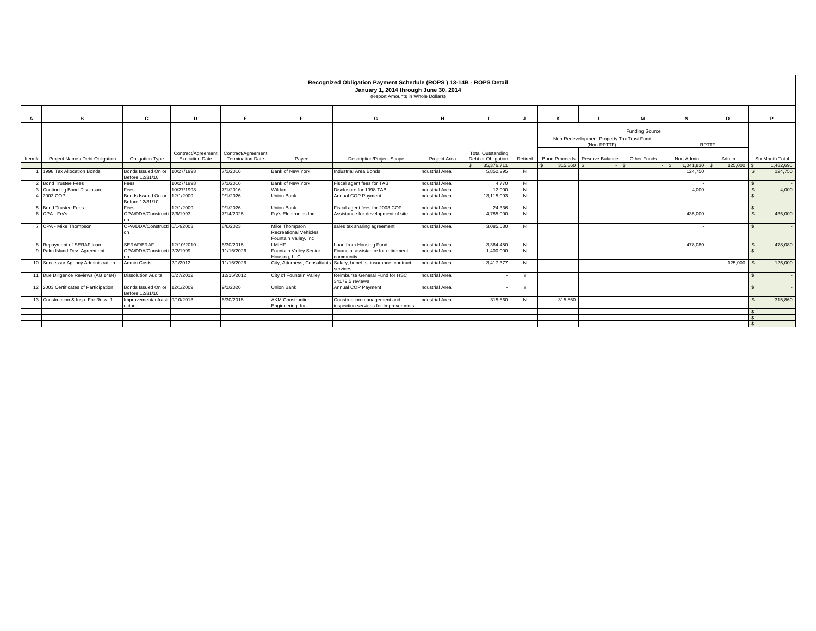|       |                                       |                                                  |                                             |                                               |                                                                  | Recognized Obligation Payment Schedule (ROPS) 13-14B - ROPS Detail<br>January 1, 2014 through June 30, 2014<br>(Report Amounts in Whole Dollars) |                        |                                                |              |                                                                            |                               |             |                 |            |                    |                 |
|-------|---------------------------------------|--------------------------------------------------|---------------------------------------------|-----------------------------------------------|------------------------------------------------------------------|--------------------------------------------------------------------------------------------------------------------------------------------------|------------------------|------------------------------------------------|--------------|----------------------------------------------------------------------------|-------------------------------|-------------|-----------------|------------|--------------------|-----------------|
| A     | R                                     | C                                                | D                                           |                                               |                                                                  | G                                                                                                                                                | н                      |                                                |              | ĸ                                                                          |                               | M           | N               | $\circ$    |                    | P               |
|       |                                       |                                                  |                                             |                                               |                                                                  |                                                                                                                                                  |                        |                                                |              | Funding Source<br>Non-Redevelopment Property Tax Trust Fund<br>(Non-RPTTF) |                               |             | <b>RPTTF</b>    |            |                    |                 |
| Item# | Project Name / Debt Obligation        | Obligation Type                                  | Contract/Agreement<br><b>Execution Date</b> | Contract/Agreement<br><b>Termination Date</b> | Payee                                                            | <b>Description/Project Scope</b>                                                                                                                 | Project Area           | <b>Total Outstanding</b><br>Debt or Obligation | Retired      |                                                                            | Bond Proceeds Reserve Balance | Other Funds | Non-Admin       | Admin      |                    | Six-Month Total |
|       |                                       |                                                  |                                             |                                               |                                                                  |                                                                                                                                                  |                        | 35.376.711                                     |              | 315,860                                                                    |                               |             | $1.041.830$ \\$ | 125,000 \$ |                    | 1,482,690       |
|       | 1998 Tax Allocation Bonds             | Bonds Issued On or 10/27/1998<br>Before 12/31/10 |                                             | 7/1/2016                                      | Bank of New York                                                 | Industrial Area Bonds                                                                                                                            | <b>Industrial Area</b> | 5,852,295                                      | N            |                                                                            |                               |             | 124,750         |            |                    | 124,750         |
|       | 2 Bond Trustee Fees                   | Fees                                             | 10/27/1998                                  | 7/1/2016                                      | Bank of New York                                                 | Fiscal agent fees for TAB                                                                                                                        | <b>Industrial Area</b> | 4.770                                          | N            |                                                                            |                               |             |                 |            |                    | $\sim$          |
|       | 3 Continuing Bond Disclosure          | Fees                                             | 10/27/1998                                  | 7/1/2016                                      | Wildan                                                           | Disclosure for 1998 TAB                                                                                                                          | <b>Industrial Area</b> | 12,000                                         | N            |                                                                            |                               |             | 4.000           |            | $\hat{\mathbf{z}}$ | 4,000           |
|       | 4 2003 COP                            | Bonds Issued On or 12/1/2009<br>Before 12/31/10  |                                             | 9/1/2026                                      | Union Bank                                                       | Annual COP Payment                                                                                                                               | <b>Industrial Area</b> | 13,115,093                                     | N            |                                                                            |                               |             |                 |            | -S                 | $\sim$          |
|       | 5 Bond Trustee Fees                   | Fees                                             | 12/1/2009                                   | 9/1/2026                                      | <b>Union Bank</b>                                                | Fiscal agent fees for 2003 COP                                                                                                                   | <b>Industrial Area</b> | 24.336                                         | N            |                                                                            |                               |             |                 |            |                    |                 |
|       | 6 OPA - Fry's                         | OPA/DDA/Constructi 7/6/1993                      |                                             | 7/14/2025                                     | Fry's Electronics Inc.                                           | Assistance for development of site                                                                                                               | <b>Industrial Area</b> | 4,785,000                                      | N            |                                                                            |                               |             | 435,000         |            | $\sim$             | 435,000         |
|       | 7 OPA - Mike Thompson                 | OPA/DDA/Constructi 6/14/2003                     |                                             | 8/6/2023                                      | Mike Thompson<br>Recreational Vehicles.<br>Fountain Valley, Inc. | sales tax sharing agreement                                                                                                                      | <b>Industrial Area</b> | 3,085,530                                      | N            |                                                                            |                               |             |                 |            |                    |                 |
|       | 8 Repayment of SERAF loan             | SERAF/ERAF                                       | 12/10/2010                                  | 6/30/2015                                     | <b>LMIHF</b>                                                     | Loan from Housing Fund                                                                                                                           | <b>Industrial Area</b> | 3.364.450                                      | N            |                                                                            |                               |             | 478,080         |            |                    | 478,080         |
|       | 9 Palm Island Dev. Agreement          | OPA/DDA/Constructi 2/2/1999                      |                                             | 11/16/2026                                    | Fountain Valley Senior<br>Housing, LLC                           | Financial assistance for retirement<br>community                                                                                                 | <b>Industrial Area</b> | 1,400,000                                      | N            |                                                                            |                               |             |                 |            | $\mathbf{s}$       |                 |
|       | 10 Successor Agency Administration    | <b>Admin Costs</b>                               | 2/1/2012                                    | 11/16/2026                                    | City, Attorneys, Consultants                                     | Salary, benefits, insurance, contract<br>services                                                                                                | <b>Industrial Area</b> | 3,417,377                                      | N            |                                                                            |                               |             |                 | 125,000    | l S                | 125,000         |
|       | 11 Due Diligence Reviews (AB 1484)    | <b>Dissolution Audits</b>                        | 6/27/2012                                   | 12/15/2012                                    | City of Fountain Valley                                          | Reimburse General Fund for HSC<br>34179.5 reviews                                                                                                | <b>Industrial Area</b> |                                                | $\checkmark$ |                                                                            |                               |             |                 |            |                    |                 |
|       | 12 2003 Certificates of Participation | Bonds Issued On or 12/1/2009<br>Before 12/31/10  |                                             | 9/1/2026                                      | Union Bank                                                       | Annual COP Payment                                                                                                                               | <b>Industrial Area</b> |                                                | $\vee$       |                                                                            |                               |             |                 |            |                    |                 |
|       | 13 Construction & Insp. For Resv. 1   | Improvement/Infrastr 9/10/2013<br>ucture         |                                             | 6/30/2015                                     | <b>AKM Construction</b><br>Engineering, Inc.                     | Construction management and<br>inspection services for Improvements                                                                              | <b>Industrial Area</b> | 315,860                                        | N            | 315,860                                                                    |                               |             |                 |            |                    | 315,860         |
|       |                                       |                                                  |                                             |                                               |                                                                  |                                                                                                                                                  |                        |                                                |              |                                                                            |                               |             |                 |            |                    |                 |
|       |                                       |                                                  |                                             |                                               |                                                                  |                                                                                                                                                  |                        |                                                |              |                                                                            |                               |             |                 |            |                    | $\sim$          |
|       |                                       |                                                  |                                             |                                               |                                                                  |                                                                                                                                                  |                        |                                                |              |                                                                            |                               |             |                 |            |                    |                 |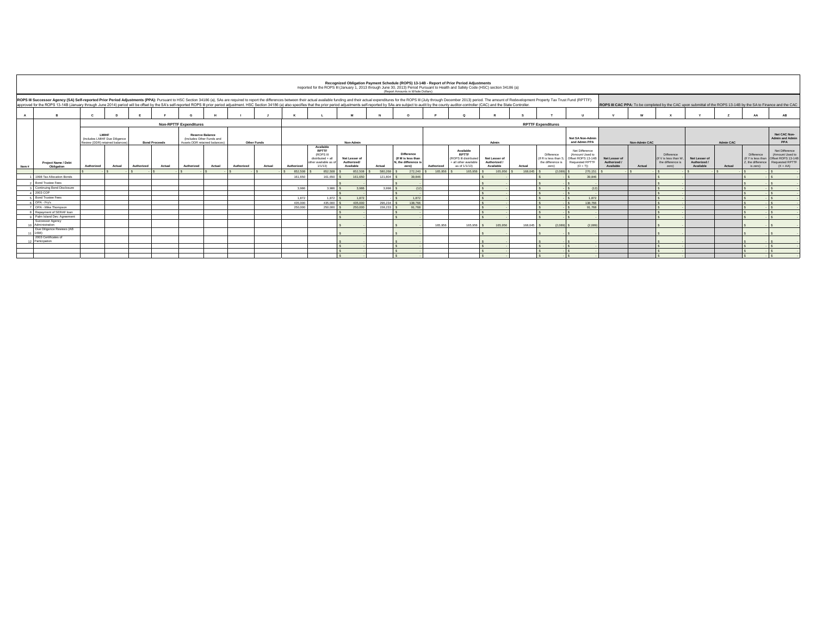|                                                                                                                                                                                                                                |                                                |                                                                           |        |            |                      |                                                                                     |            |             |                                                                                                                                                                                                                                |                                                                                            |                                                  |           | Recognized Obligation Payment Schedule (ROPS) 13-14B - Report of Prior Period Adjustments<br>Reported for the ROPS III (January 1, 2013 through June 30, 2013) Period Pursuant to Health and Safety Code (HSC) section 34186 (a)<br>(Report Amounts in Whole Dollars) |            |                                                                                             |                                            |                                                                                                                 |                                                                 |                                                                                                |                                          |               |                                                                 |                                            |           |                                                                   |                                                                                                 |  |  |  |
|--------------------------------------------------------------------------------------------------------------------------------------------------------------------------------------------------------------------------------|------------------------------------------------|---------------------------------------------------------------------------|--------|------------|----------------------|-------------------------------------------------------------------------------------|------------|-------------|--------------------------------------------------------------------------------------------------------------------------------------------------------------------------------------------------------------------------------|--------------------------------------------------------------------------------------------|--------------------------------------------------|-----------|-----------------------------------------------------------------------------------------------------------------------------------------------------------------------------------------------------------------------------------------------------------------------|------------|---------------------------------------------------------------------------------------------|--------------------------------------------|-----------------------------------------------------------------------------------------------------------------|-----------------------------------------------------------------|------------------------------------------------------------------------------------------------|------------------------------------------|---------------|-----------------------------------------------------------------|--------------------------------------------|-----------|-------------------------------------------------------------------|-------------------------------------------------------------------------------------------------|--|--|--|
| approved for the ROPS 13-14B (January through June 2014) period will be offset by the SA's self-reported ROPS III prior period adjustment. HSC Section 34186 (a) also specifies that the prior period adjustments self-reporte |                                                |                                                                           |        |            |                      |                                                                                     |            |             | ROPS III Successor Agency (SA) Self-reported Prior Period Adjustments (PPA): Pursuant to HSC Section 34186 (a), SAs are required to report the differences between their actual available funding and their actual expenditure |                                                                                            |                                                  |           |                                                                                                                                                                                                                                                                       |            |                                                                                             |                                            | ROPS III CAC PPA: To be completed by the CAC upon submittal of the ROPS 13-14B by the SA to Finance and the CAC |                                                                 |                                                                                                |                                          |               |                                                                 |                                            |           |                                                                   |                                                                                                 |  |  |  |
|                                                                                                                                                                                                                                | $\mathbf{R}$                                   |                                                                           |        |            |                      |                                                                                     |            |             |                                                                                                                                                                                                                                |                                                                                            |                                                  |           |                                                                                                                                                                                                                                                                       |            |                                                                                             |                                            |                                                                                                                 |                                                                 |                                                                                                |                                          |               |                                                                 |                                            |           | AA                                                                | AR                                                                                              |  |  |  |
|                                                                                                                                                                                                                                |                                                |                                                                           |        |            |                      | <b>Non-RPTTF Expenditures</b>                                                       |            |             |                                                                                                                                                                                                                                |                                                                                            |                                                  |           |                                                                                                                                                                                                                                                                       |            |                                                                                             |                                            |                                                                                                                 | <b>RPTTF Expenditures</b>                                       |                                                                                                |                                          |               |                                                                 |                                            |           |                                                                   |                                                                                                 |  |  |  |
|                                                                                                                                                                                                                                |                                                | LMIHF<br>(Includes LMIHF Due Diligence<br>Review (DDR) retained balances) |        |            | <b>Bond Proceeds</b> | <b>Reserve Balance</b><br>(Includes Other Funds and<br>Assets DDR retained balances |            | Other Funds |                                                                                                                                                                                                                                |                                                                                            | Non-Admin                                        |           |                                                                                                                                                                                                                                                                       |            |                                                                                             | Admin                                      |                                                                                                                 |                                                                 | Net SA Non-Admin<br>and Admin PPA                                                              |                                          | Non-Admin CAC |                                                                 |                                            | Admin CAC |                                                                   |                                                                                                 |  |  |  |
| Item #                                                                                                                                                                                                                         | Project Name / Debt<br>Obligation              | Authorized                                                                | Actual | Authorized | Actual               | Authorized<br>Actual                                                                | Authorized | Actual      | Authorized                                                                                                                                                                                                                     | Available<br><b>RPTTF</b><br>(ROPS III<br>distributed + all<br>ther available as<br>1/1/13 | Net Lesser of<br>Authorized/<br><b>Available</b> | Actual    | Difference<br>(If M is less than<br>N. the difference is<br>zero)                                                                                                                                                                                                     | Authorized | Available<br><b>RPTTF</b><br>(ROPS III distribute<br>+ all other available<br>as of 1/1/13) | Net Lesser of<br>Authorized /<br>Available | Actual                                                                                                          | Difference<br>If R is less than 3<br>the difference is<br>zero) | Net Difference<br>(Amount Used to<br>Offset ROPS 13-14B<br><b>Requested RPTTF</b><br>$(O + T)$ | Net Lesser of<br>Authorized<br>Available | Actual        | Difference<br>(If V is less than)<br>the difference is<br>zero) | Net Lesser of<br>Authorized /<br>Available | Actual    | Difference<br>(If Y is less than<br>Z, the difference<br>is zero) | Net Difference<br>(Amount Used to<br>Offset ROPS 13-148<br><b>Requested RPTTF</b><br>$(X + AA)$ |  |  |  |
|                                                                                                                                                                                                                                |                                                |                                                                           |        |            |                      |                                                                                     |            |             | 852,508                                                                                                                                                                                                                        | 852,508                                                                                    | 852,508                                          | 580,268   | 272,240                                                                                                                                                                                                                                                               | 165,956    | 165,956                                                                                     | 165,956 S                                  | 168,045                                                                                                         | (2.089)                                                         | 270.151                                                                                        |                                          |               |                                                                 |                                            |           |                                                                   |                                                                                                 |  |  |  |
|                                                                                                                                                                                                                                | 1998 Tax Allocation Bonds                      |                                                                           |        |            |                      |                                                                                     |            |             | 161,650                                                                                                                                                                                                                        | 161,650                                                                                    | 161,650                                          | 121 804   | 39.84                                                                                                                                                                                                                                                                 |            |                                                                                             |                                            |                                                                                                                 |                                                                 | 39.846                                                                                         |                                          |               |                                                                 |                                            |           |                                                                   |                                                                                                 |  |  |  |
|                                                                                                                                                                                                                                | <b>Bond Trustee Fees</b>                       |                                                                           |        |            |                      |                                                                                     |            |             |                                                                                                                                                                                                                                |                                                                                            |                                                  |           |                                                                                                                                                                                                                                                                       |            |                                                                                             |                                            |                                                                                                                 |                                                                 |                                                                                                |                                          |               |                                                                 |                                            |           |                                                                   |                                                                                                 |  |  |  |
|                                                                                                                                                                                                                                | Continuing Bond Disclosure                     |                                                                           |        |            |                      |                                                                                     |            |             | 3.986                                                                                                                                                                                                                          | 3.986 S                                                                                    | 3.986                                            | 3.998 5   |                                                                                                                                                                                                                                                                       |            |                                                                                             |                                            |                                                                                                                 |                                                                 | (12)                                                                                           |                                          |               |                                                                 |                                            |           |                                                                   |                                                                                                 |  |  |  |
|                                                                                                                                                                                                                                | 4 2003 COP                                     |                                                                           |        |            |                      |                                                                                     |            |             |                                                                                                                                                                                                                                |                                                                                            |                                                  |           |                                                                                                                                                                                                                                                                       |            |                                                                                             |                                            |                                                                                                                 |                                                                 |                                                                                                |                                          |               |                                                                 |                                            |           |                                                                   |                                                                                                 |  |  |  |
|                                                                                                                                                                                                                                | <b>Bond Trustee Fees</b>                       |                                                                           |        |            |                      |                                                                                     |            |             | 1872                                                                                                                                                                                                                           | 1.872                                                                                      | 1872                                             |           | 1872                                                                                                                                                                                                                                                                  |            |                                                                                             |                                            |                                                                                                                 |                                                                 | 1872                                                                                           |                                          |               |                                                                 |                                            |           |                                                                   |                                                                                                 |  |  |  |
|                                                                                                                                                                                                                                | R OPA - Fry's                                  |                                                                           |        |            |                      |                                                                                     |            |             | 435,000                                                                                                                                                                                                                        | 435,000                                                                                    | 435,000                                          | 296.234 S | 138,766                                                                                                                                                                                                                                                               |            |                                                                                             |                                            |                                                                                                                 |                                                                 | 138,766                                                                                        |                                          |               |                                                                 |                                            |           |                                                                   |                                                                                                 |  |  |  |
|                                                                                                                                                                                                                                | OPA - Mike Thompson                            |                                                                           |        |            |                      |                                                                                     |            |             | 250,000                                                                                                                                                                                                                        | 250,000                                                                                    | 250,000                                          | 158,233   | 91,768                                                                                                                                                                                                                                                                |            |                                                                                             |                                            |                                                                                                                 |                                                                 | 91 768                                                                                         |                                          |               |                                                                 |                                            |           |                                                                   |                                                                                                 |  |  |  |
|                                                                                                                                                                                                                                | Repayment of SERAF loan                        |                                                                           |        |            |                      |                                                                                     |            |             |                                                                                                                                                                                                                                |                                                                                            |                                                  |           |                                                                                                                                                                                                                                                                       |            |                                                                                             |                                            |                                                                                                                 |                                                                 |                                                                                                |                                          |               |                                                                 |                                            |           |                                                                   |                                                                                                 |  |  |  |
|                                                                                                                                                                                                                                | Palm Island Dev. Agreement<br>Successor Agency |                                                                           |        |            |                      |                                                                                     |            |             |                                                                                                                                                                                                                                |                                                                                            |                                                  |           |                                                                                                                                                                                                                                                                       |            |                                                                                             |                                            |                                                                                                                 |                                                                 |                                                                                                |                                          |               |                                                                 |                                            |           |                                                                   |                                                                                                 |  |  |  |
|                                                                                                                                                                                                                                | Administration                                 |                                                                           |        |            |                      |                                                                                     |            |             |                                                                                                                                                                                                                                |                                                                                            |                                                  |           |                                                                                                                                                                                                                                                                       | 165,956    | 165,956                                                                                     | 165,956                                    | 168.045                                                                                                         | (2.089)                                                         | (2.089)                                                                                        |                                          |               |                                                                 |                                            |           |                                                                   |                                                                                                 |  |  |  |
|                                                                                                                                                                                                                                | Due Diligence Reviews (AB                      |                                                                           |        |            |                      |                                                                                     |            |             |                                                                                                                                                                                                                                |                                                                                            |                                                  |           |                                                                                                                                                                                                                                                                       |            |                                                                                             |                                            |                                                                                                                 |                                                                 |                                                                                                |                                          |               |                                                                 |                                            |           |                                                                   |                                                                                                 |  |  |  |
|                                                                                                                                                                                                                                | 1484)<br>2003 Certificates of                  |                                                                           |        |            |                      |                                                                                     |            |             |                                                                                                                                                                                                                                |                                                                                            |                                                  |           |                                                                                                                                                                                                                                                                       |            |                                                                                             |                                            |                                                                                                                 |                                                                 |                                                                                                |                                          |               |                                                                 |                                            |           |                                                                   |                                                                                                 |  |  |  |
|                                                                                                                                                                                                                                | 12 Participation                               |                                                                           |        |            |                      |                                                                                     |            |             |                                                                                                                                                                                                                                |                                                                                            |                                                  |           |                                                                                                                                                                                                                                                                       |            |                                                                                             |                                            |                                                                                                                 |                                                                 |                                                                                                |                                          |               |                                                                 |                                            |           |                                                                   |                                                                                                 |  |  |  |
|                                                                                                                                                                                                                                |                                                |                                                                           |        |            |                      |                                                                                     |            |             |                                                                                                                                                                                                                                |                                                                                            |                                                  |           |                                                                                                                                                                                                                                                                       |            |                                                                                             |                                            |                                                                                                                 |                                                                 |                                                                                                |                                          |               |                                                                 |                                            |           |                                                                   |                                                                                                 |  |  |  |
|                                                                                                                                                                                                                                |                                                |                                                                           |        |            |                      |                                                                                     |            |             |                                                                                                                                                                                                                                |                                                                                            |                                                  |           |                                                                                                                                                                                                                                                                       |            |                                                                                             |                                            |                                                                                                                 |                                                                 |                                                                                                |                                          |               |                                                                 |                                            |           |                                                                   |                                                                                                 |  |  |  |
|                                                                                                                                                                                                                                |                                                |                                                                           |        |            |                      |                                                                                     |            |             |                                                                                                                                                                                                                                |                                                                                            |                                                  |           |                                                                                                                                                                                                                                                                       |            |                                                                                             |                                            |                                                                                                                 |                                                                 |                                                                                                |                                          |               |                                                                 |                                            |           |                                                                   |                                                                                                 |  |  |  |